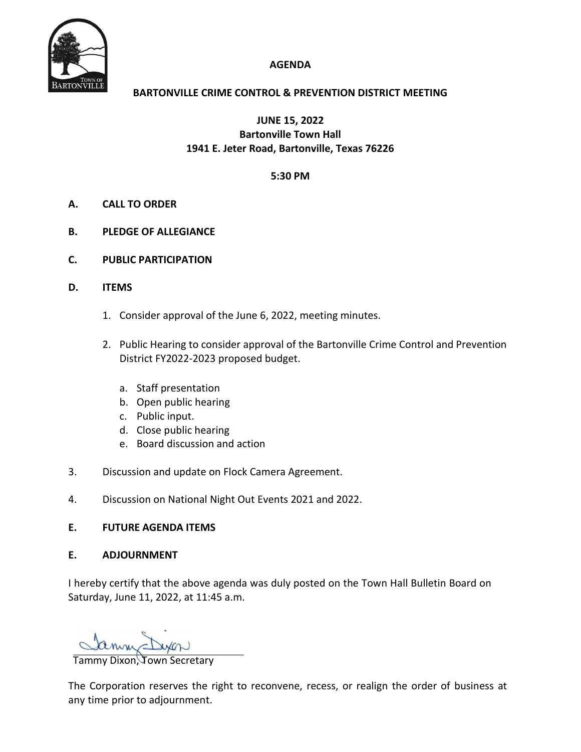

# **AGENDA**

# **BARTONVILLE CRIME CONTROL & PREVENTION DISTRICT MEETING**

**JUNE 15, 2022 Bartonville Town Hall 1941 E. Jeter Road, Bartonville, Texas 76226**

## **5:30 PM**

- **A. CALL TO ORDER**
- **B. PLEDGE OF ALLEGIANCE**
- **C. PUBLIC PARTICIPATION**
- **D. ITEMS**
	- 1. Consider approval of the June 6, 2022, meeting minutes.
	- 2. Public Hearing to consider approval of the Bartonville Crime Control and Prevention District FY2022-2023 proposed budget.
		- a. Staff presentation
		- b. Open public hearing
		- c. Public input.
		- d. Close public hearing
		- e. Board discussion and action
- 3. Discussion and update on Flock Camera Agreement.
- 4. Discussion on National Night Out Events 2021 and 2022.

### **E. FUTURE AGENDA ITEMS**

### **E. ADJOURNMENT**

I hereby certify that the above agenda was duly posted on the Town Hall Bulletin Board on Saturday, June 11, 2022, at 11:45 a.m.

Tammy Dixon, Town Secretary

The Corporation reserves the right to reconvene, recess, or realign the order of business at any time prior to adjournment.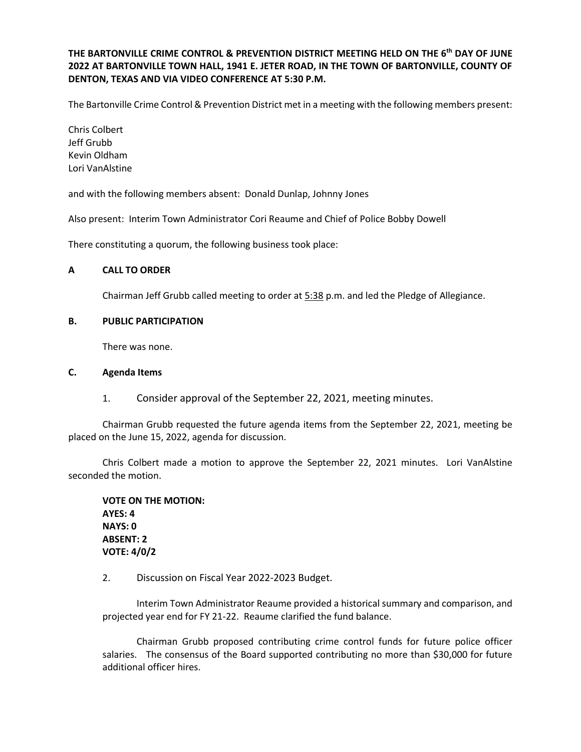**THE BARTONVILLE CRIME CONTROL & PREVENTION DISTRICT MEETING HELD ON THE 6 th DAY OF JUNE 2022 AT BARTONVILLE TOWN HALL, 1941 E. JETER ROAD, IN THE TOWN OF BARTONVILLE, COUNTY OF DENTON, TEXAS AND VIA VIDEO CONFERENCE AT 5:30 P.M.**

The Bartonville Crime Control & Prevention District met in a meeting with the following members present:

Chris Colbert Jeff Grubb Kevin Oldham Lori VanAlstine

and with the following members absent: Donald Dunlap, Johnny Jones

Also present: Interim Town Administrator Cori Reaume and Chief of Police Bobby Dowell

There constituting a quorum, the following business took place:

#### **A CALL TO ORDER**

Chairman Jeff Grubb called meeting to order at 5:38 p.m. and led the Pledge of Allegiance.

#### **B. PUBLIC PARTICIPATION**

There was none.

#### **C. Agenda Items**

1. Consider approval of the September 22, 2021, meeting minutes.

Chairman Grubb requested the future agenda items from the September 22, 2021, meeting be placed on the June 15, 2022, agenda for discussion.

Chris Colbert made a motion to approve the September 22, 2021 minutes. Lori VanAlstine seconded the motion.

**VOTE ON THE MOTION: AYES: 4 NAYS: 0 ABSENT: 2 VOTE: 4/0/2**

2. Discussion on Fiscal Year 2022‐2023 Budget.

Interim Town Administrator Reaume provided a historical summary and comparison, and projected year end for FY 21-22. Reaume clarified the fund balance.

Chairman Grubb proposed contributing crime control funds for future police officer salaries. The consensus of the Board supported contributing no more than \$30,000 for future additional officer hires.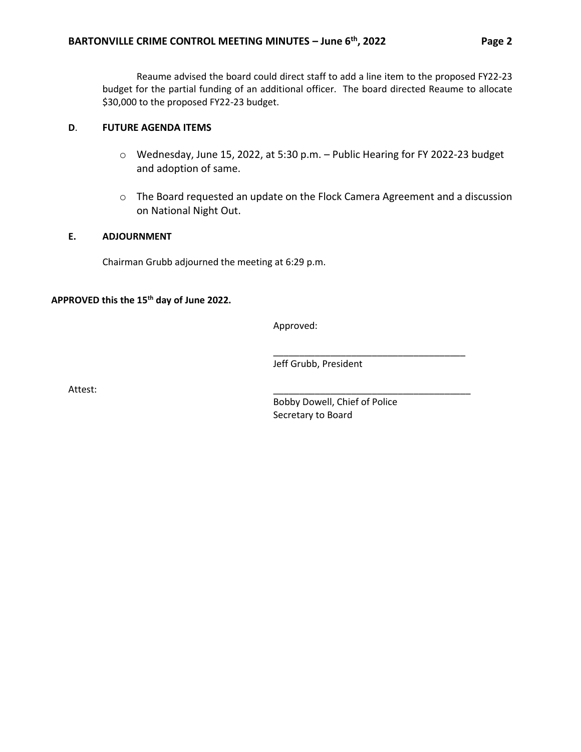Reaume advised the board could direct staff to add a line item to the proposed FY22-23 budget for the partial funding of an additional officer. The board directed Reaume to allocate \$30,000 to the proposed FY22-23 budget.

## **D**. **FUTURE AGENDA ITEMS**

- o Wednesday, June 15, 2022, at 5:30 p.m. Public Hearing for FY 2022‐23 budget and adoption of same.
- o The Board requested an update on the Flock Camera Agreement and a discussion on National Night Out.

### **E. ADJOURNMENT**

Chairman Grubb adjourned the meeting at 6:29 p.m.

# **APPROVED this the 15th day of June 2022.**

Approved:

Jeff Grubb, President

Attest: \_\_\_\_\_\_\_\_\_\_\_\_\_\_\_\_\_\_\_\_\_\_\_\_\_\_\_\_\_\_\_\_\_\_\_\_\_\_

Bobby Dowell, Chief of Police Secretary to Board

\_\_\_\_\_\_\_\_\_\_\_\_\_\_\_\_\_\_\_\_\_\_\_\_\_\_\_\_\_\_\_\_\_\_\_\_\_